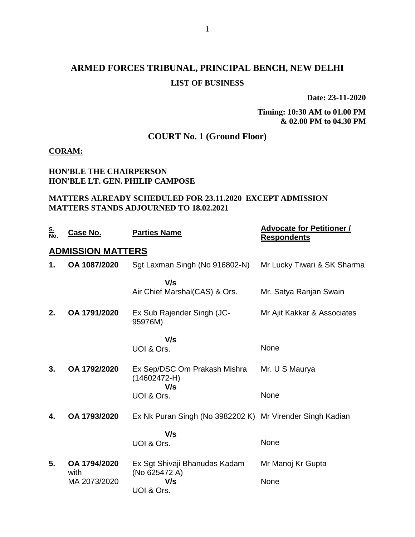# **ARMED FORCES TRIBUNAL, PRINCIPAL BENCH, NEW DELHI LIST OF BUSINESS**

**Date: 23-11-2020**

**Timing: 10:30 AM to 01.00 PM & 02.00 PM to 04.30 PM**

### **COURT No. 1 (Ground Floor)**

#### **CORAM:**

#### **HON'BLE THE CHAIRPERSON HON'BLE LT. GEN. PHILIP CAMPOSE**

#### **MATTERS ALREADY SCHEDULED FOR 23.11.2020 EXCEPT ADMISSION MATTERS STANDS ADJOURNED TO 18.02.2021**

| <u>S.</u><br>No. | <u>Case No.</u>          | <b>Parties Name</b>                                       | <b>Advocate for Petitioner /</b><br><b>Respondents</b> |
|------------------|--------------------------|-----------------------------------------------------------|--------------------------------------------------------|
|                  | <b>ADMISSION MATTERS</b> |                                                           |                                                        |
| 1.               | OA 1087/2020             | Sgt Laxman Singh (No 916802-N)                            | Mr Lucky Tiwari & SK Sharma                            |
|                  |                          | V/s                                                       |                                                        |
|                  |                          | Air Chief Marshal(CAS) & Ors.                             | Mr. Satya Ranjan Swain                                 |
| 2.               | OA 1791/2020             | Ex Sub Rajender Singh (JC-<br>95976M)                     | Mr Ajit Kakkar & Associates                            |
|                  |                          | V/s                                                       |                                                        |
|                  |                          | UOI & Ors.                                                | None                                                   |
| 3.               | OA 1792/2020             | Ex Sep/DSC Om Prakash Mishra<br>$(14602472-H)$            | Mr. U S Maurya                                         |
|                  |                          | V/s<br>UOI & Ors.                                         | None                                                   |
| 4.               | OA 1793/2020             | Ex Nk Puran Singh (No 3982202 K) Mr Virender Singh Kadian |                                                        |
|                  |                          | V/s<br>UOI & Ors.                                         | None                                                   |
| 5.               | OA 1794/2020             | Ex Sgt Shivaji Bhanudas Kadam                             | Mr Manoj Kr Gupta                                      |
|                  | with<br>MA 2073/2020     | (No 625472 A)<br>V/s<br>UOI & Ors.                        | None                                                   |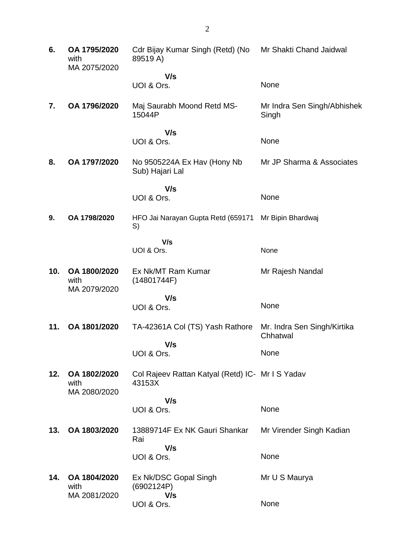| 6.  | OA 1795/2020<br>with<br>MA 2075/2020 | Cdr Bijay Kumar Singh (Retd) (No<br>89519 A)               | Mr Shakti Chand Jaidwal                 |
|-----|--------------------------------------|------------------------------------------------------------|-----------------------------------------|
|     |                                      | V/s                                                        |                                         |
|     |                                      | UOI & Ors.                                                 | None                                    |
| 7.  | OA 1796/2020                         | Maj Saurabh Moond Retd MS-<br>15044P                       | Mr Indra Sen Singh/Abhishek<br>Singh    |
|     |                                      | V/s<br>UOI & Ors.                                          | None                                    |
| 8.  | OA 1797/2020                         | No 9505224A Ex Hav (Hony Nb<br>Sub) Hajari Lal             | Mr JP Sharma & Associates               |
|     |                                      | V/s<br>UOI & Ors.                                          | None                                    |
| 9.  | OA 1798/2020                         | HFO Jai Narayan Gupta Retd (659171<br>S)                   | Mr Bipin Bhardwaj                       |
|     |                                      | V/s<br>UOI & Ors.                                          | None                                    |
| 10. | OA 1800/2020<br>with<br>MA 2079/2020 | Ex Nk/MT Ram Kumar<br>(14801744F)                          | Mr Rajesh Nandal                        |
|     |                                      | V/s<br>UOI & Ors.                                          | None                                    |
| 11. | OA 1801/2020                         | TA-42361A Col (TS) Yash Rathore<br>V/s                     | Mr. Indra Sen Singh/Kirtika<br>Chhatwal |
|     |                                      | UOI & Ors.                                                 | None                                    |
| 12. | OA 1802/2020<br>with<br>MA 2080/2020 | Col Rajeev Rattan Katyal (Retd) IC- Mr I S Yadav<br>43153X |                                         |
|     |                                      | V/s                                                        |                                         |
|     |                                      | UOI & Ors.                                                 | None                                    |
| 13. | OA 1803/2020                         | 13889714F Ex NK Gauri Shankar<br>Rai                       | Mr Virender Singh Kadian                |
|     |                                      | V/s<br>UOI & Ors.                                          | None                                    |
| 14. | OA 1804/2020<br>with                 | Ex Nk/DSC Gopal Singh<br>(6902124P)                        | Mr U S Maurya                           |
|     | MA 2081/2020                         | V/s<br>UOI & Ors.                                          | None                                    |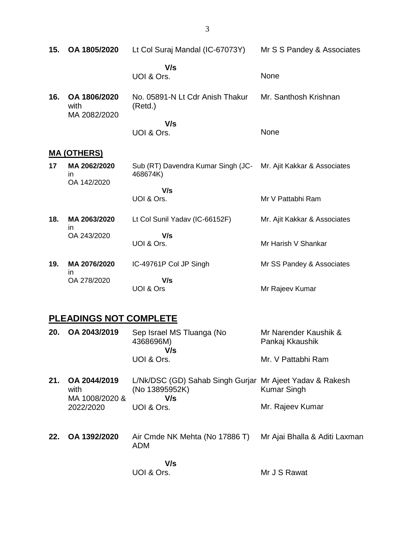| 15. | OA 1805/2020                         | Lt Col Suraj Mandal (IC-67073Y)                                             | Mr S S Pandey & Associates   |  |  |  |
|-----|--------------------------------------|-----------------------------------------------------------------------------|------------------------------|--|--|--|
|     |                                      | V/s<br>UOI & Ors.                                                           | None                         |  |  |  |
| 16. | OA 1806/2020<br>with<br>MA 2082/2020 | No. 05891-N Lt Cdr Anish Thakur<br>(Retd.)                                  | Mr. Santhosh Krishnan        |  |  |  |
|     |                                      | V/s<br>UOI & Ors.                                                           | None                         |  |  |  |
|     | <u>MA (OTHERS)</u>                   |                                                                             |                              |  |  |  |
| 17  | MA 2062/2020<br>in<br>OA 142/2020    | Sub (RT) Davendra Kumar Singh (JC- Mr. Ajit Kakkar & Associates<br>468674K) |                              |  |  |  |
|     |                                      | V/s<br>UOI & Ors.                                                           | Mr V Pattabhi Ram            |  |  |  |
| 18. | MA 2063/2020                         | Lt Col Sunil Yadav (IC-66152F)                                              | Mr. Ajit Kakkar & Associates |  |  |  |
|     | <i>in</i><br>OA 243/2020             | V/s<br>UOI & Ors.                                                           | Mr Harish V Shankar          |  |  |  |
| 19. | MA 2076/2020                         | IC-49761P Col JP Singh                                                      | Mr SS Pandey & Associates    |  |  |  |
|     | <i>in</i><br>OA 278/2020             | V/s<br>UOI & Ors                                                            | Mr Rajeev Kumar              |  |  |  |

# **PLEADINGS NOT COMPLETE**

| 20. | OA 2043/2019                           | Sep Israel MS Tluanga (No<br>4368696M)<br>V/s                                     | Mr Narender Kaushik &<br>Pankaj Kkaushik |
|-----|----------------------------------------|-----------------------------------------------------------------------------------|------------------------------------------|
|     |                                        | UOI & Ors.                                                                        | Mr. V Pattabhi Ram                       |
| 21. | OA 2044/2019<br>with<br>MA 1008/2020 & | L/Nk/DSC (GD) Sahab Singh Gurjar Mr Ajeet Yadav & Rakesh<br>(No 13895952K)<br>V/s | <b>Kumar Singh</b>                       |
|     | 2022/2020                              | UOI & Ors.                                                                        | Mr. Rajeev Kumar                         |
| 22. | OA 1392/2020                           | Air Cmde NK Mehta (No 17886 T)<br><b>ADM</b>                                      | Mr Ajai Bhalla & Aditi Laxman            |
|     |                                        | V/s<br>UOI & Ors.                                                                 | Mr J S Rawat                             |

3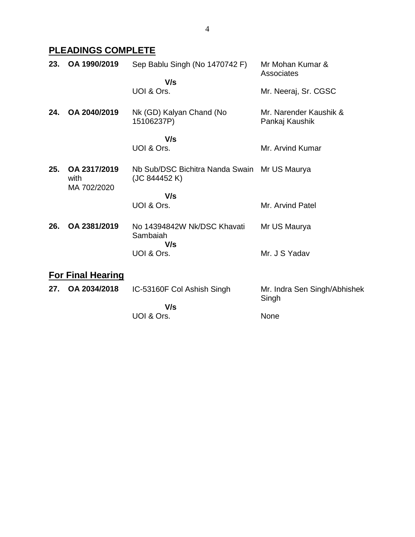# **PLEADINGS COMPLETE**

| 23. | OA 1990/2019                        | Sep Bablu Singh (No 1470742 F)                                | Mr Mohan Kumar &<br>Associates           |
|-----|-------------------------------------|---------------------------------------------------------------|------------------------------------------|
|     |                                     | V/s<br>UOI & Ors.                                             | Mr. Neeraj, Sr. CGSC                     |
| 24. | OA 2040/2019                        | Nk (GD) Kalyan Chand (No<br>15106237P)                        | Mr. Narender Kaushik &<br>Pankaj Kaushik |
|     |                                     | V/s<br>UOI & Ors.                                             | Mr. Arvind Kumar                         |
| 25. | OA 2317/2019<br>with<br>MA 702/2020 | Nb Sub/DSC Bichitra Nanda Swain Mr US Maurya<br>(JC 844452 K) |                                          |
|     |                                     | V/s<br>UOI & Ors.                                             | Mr. Arvind Patel                         |
|     |                                     |                                                               |                                          |
| 26. | OA 2381/2019                        | No 14394842W Nk/DSC Khavati<br>Sambaiah<br>V/s                | Mr US Maurya                             |
|     |                                     | UOI & Ors.                                                    | Mr. J S Yadav                            |
|     | <b>For Final Hearing</b>            |                                                               |                                          |
| 27. | OA 2034/2018                        | IC-53160F Col Ashish Singh                                    | Mr. Indra Sen Singh/Abhishek<br>Singh    |
|     |                                     | V/s                                                           |                                          |
|     |                                     | UOI & Ors.                                                    | None                                     |